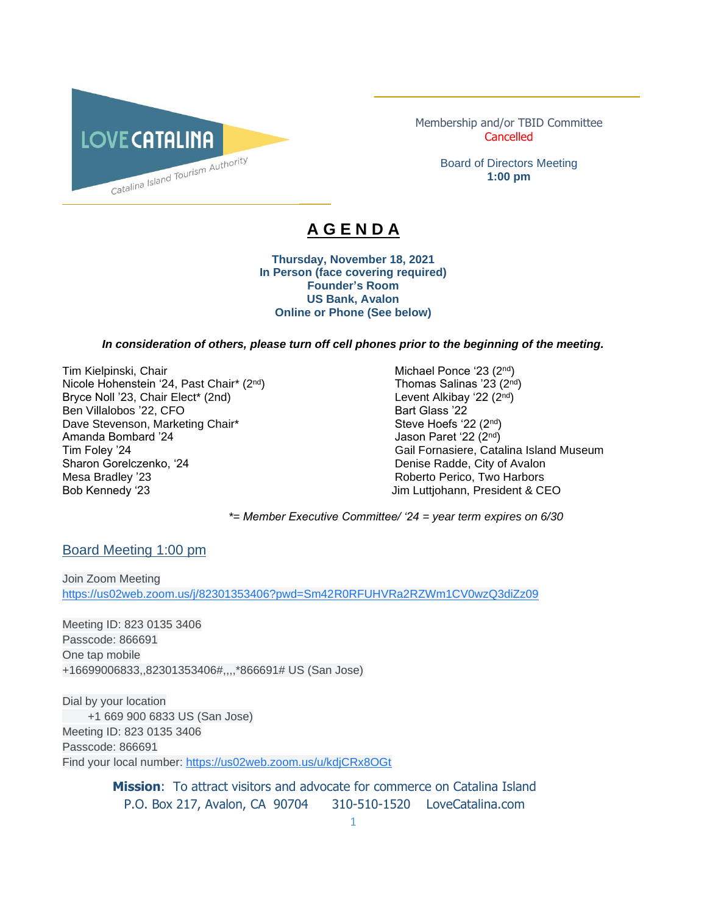

Membership and/or TBID Committee **Cancelled** 

\_\_\_\_\_\_\_\_\_\_\_\_\_\_\_\_\_\_\_\_\_\_\_\_\_\_\_\_\_\_\_\_\_\_\_\_\_\_\_\_\_\_

Board of Directors Meeting **1:00 pm**

# **A G E N D A**

 $\overline{\phantom{a}}$ 

**Thursday, November 18, 2021 In Person (face covering required) Founder's Room US Bank, Avalon Online or Phone (See below)**

#### *In consideration of others, please turn off cell phones prior to the beginning of the meeting.*

Tim Kielpinski, Chair Michael Ponce '23 (2<sup>nd</sup>) Michael Ponce '23 (2<sup>nd</sup>) Nicole Hohenstein '24, Past Chair\* (2<sup>nd</sup>) Thomas Salinas '23 (2<sup>nd</sup>) Bryce Noll '23, Chair Elect\* (2nd) Ben Villalobos '22, CFO Bart Glass '22 Dave Stevenson, Marketing Chair\* Amanda Bombard '24 Jason Paret '22 (2<sup>nd</sup>) Sharon Gorelczenko, '24 Denise Radde, City of Avalon Mesa Bradley '23 **Roberto Perico, Two Harbors** Roberto Perico, Two Harbors Bob Kennedy '23 Jim Luttjohann, President & CEO

nd ) Tim Foley '24 Gail Fornasiere, Catalina Island Museum

*\*= Member Executive Committee/ '24 = year term expires on 6/30* 

Board Meeting 1:00 pm

Join Zoom Meeting [https://us02web.zoom.us/j/82301353406?pwd=Sm42R0RFUHVRa2RZWm1CV0wzQ3diZz09](https://www.google.com/url?q=https://us02web.zoom.us/j/82301353406?pwd%3DSm42R0RFUHVRa2RZWm1CV0wzQ3diZz09&sa=D&source=calendar&ust=1615520592838000&usg=AOvVaw2YOhWUTEJgTHZ7_ay-dgZd)

Meeting ID: 823 0135 3406 Passcode: 866691 One tap mobile +16699006833,,82301353406#,,,,\*866691# US (San Jose)

Dial by your location +1 669 900 6833 US (San Jose) Meeting ID: 823 0135 3406 Passcode: 866691 Find your local number: [https://us02web.zoom.us/u/kdjCRx8OGt](https://www.google.com/url?q=https://us02web.zoom.us/u/kdjCRx8OGt&sa=D&source=calendar&ust=1615520592838000&usg=AOvVaw2gwBpPGmW2ln1ZL1spFK5e)

> **Mission**: To attract visitors and advocate for commerce on Catalina Island P.O. Box 217, Avalon, CA 90704 310-510-1520 LoveCatalina.com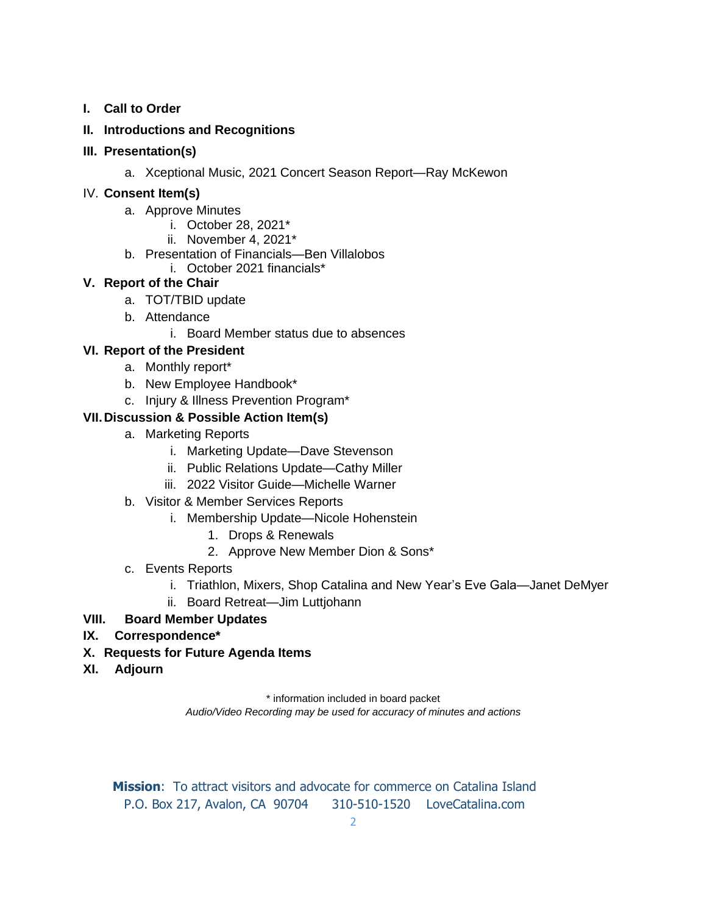### **I. Call to Order**

### **II. Introductions and Recognitions**

### **III. Presentation(s)**

a. Xceptional Music, 2021 Concert Season Report—Ray McKewon

### IV. **Consent Item(s)**

- a. Approve Minutes
	- i. October 28, 2021\*
	- ii. November 4, 2021\*
- b. Presentation of Financials—Ben Villalobos
	- i. October 2021 financials\*

# **V. Report of the Chair**

- a. TOT/TBID update
- b. Attendance
	- i. Board Member status due to absences

# **VI. Report of the President**

- a. Monthly report\*
- b. New Employee Handbook\*
- c. Injury & Illness Prevention Program\*

# **VII.Discussion & Possible Action Item(s)**

- a. Marketing Reports
	- i. Marketing Update—Dave Stevenson
	- ii. Public Relations Update—Cathy Miller
	- iii. 2022 Visitor Guide—Michelle Warner
- b. Visitor & Member Services Reports
	- i. Membership Update—Nicole Hohenstein
		- 1. Drops & Renewals
		- 2. Approve New Member Dion & Sons\*
- c. Events Reports
	- i. Triathlon, Mixers, Shop Catalina and New Year's Eve Gala—Janet DeMyer
	- ii. Board Retreat—Jim Luttjohann

# **VIII. Board Member Updates**

# **IX. Correspondence\***

- **X. Requests for Future Agenda Items**
- **XI. Adjourn**

\* information included in board packet

*Audio/Video Recording may be used for accuracy of minutes and actions*

**Mission**: To attract visitors and advocate for commerce on Catalina Island P.O. Box 217, Avalon, CA 90704 310-510-1520 LoveCatalina.com